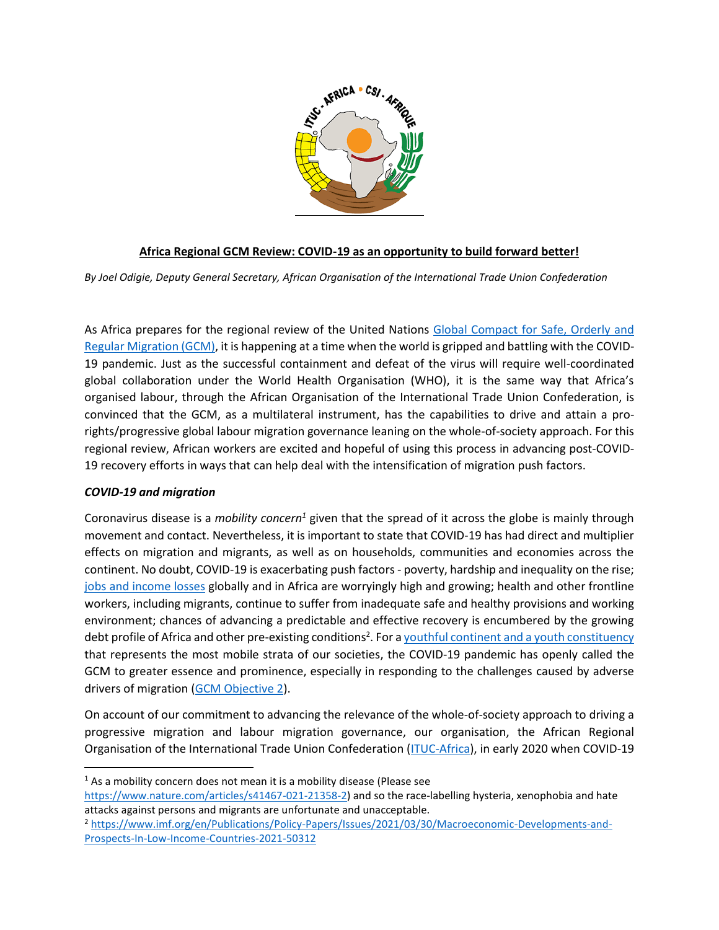

## **Africa Regional GCM Review: COVID-19 as an opportunity to build forward better!**

*By Joel Odigie, Deputy General Secretary, African Organisation of the International Trade Union Confederation*

As Africa prepares for the regional review of the United Nations [Global Compact for Safe, Orderly and](https://www.iom.int/global-compact-migration)  Regular [Migration](https://www.iom.int/global-compact-migration) (GCM), it is happening at a time when the world is gripped and battling with the COVID-19 pandemic. Just as the successful containment and defeat of the virus will require well-coordinated global collaboration under the World Health Organisation (WHO), it is the same way that Africa's organised labour, through the African Organisation of the International Trade Union Confederation, is convinced that the GCM, as a multilateral instrument, has the capabilities to drive and attain a prorights/progressive global labour migration governance leaning on the whole-of-society approach. For this regional review, African workers are excited and hopeful of using this process in advancing post-COVID-19 recovery efforts in ways that can help deal with the intensification of migration push factors.

## *COVID-19 and migration*

Coronavirus disease is a *mobility concern<sup>1</sup>* given that the spread of it across the globe is mainly through movement and contact. Nevertheless, it is important to state that COVID-19 has had direct and multiplier effects on migration and migrants, as well as on households, communities and economies across the continent. No doubt, COVID-19 is exacerbating push factors - poverty, hardship and inequality on the rise; [jobs and income losses](https://www.google.com/search?q=jobs+and+income+losses+during+COVID-19&rlz=1C1GCEU_enTG871TG871&oq=jobs&aqs=chrome.0.69i59j69i57j0i67i433i457j0i402j0i67l3j0j0i20i263i433j0i433.1936j0j15&sourceid=chrome&ie=UTF-8) globally and in Africa are worryingly high and growing; health and other frontline workers, including migrants, continue to suffer from inadequate safe and healthy provisions and working environment; chances of advancing a predictable and effective recovery is encumbered by the growing debt profile of Africa and other pre-existing conditions<sup>2</sup>. For a <u>youthful continent [and a youth constituency](https://www.africa.undp.org/content/rba/en/home/blog/2017/8/7/africa_defining_challenge.html)</u> that represents the most mobile strata of our societies, the COVID-19 pandemic has openly called the GCM to greater essence and prominence, especially in responding to the challenges caused by adverse drivers of migration [\(GCM Objective 2\)](https://www.un.org/en/ga/search/view_doc.asp?symbol=A/RES/73/195).

On account of our commitment to advancing the relevance of the whole-of-society approach to driving a progressive migration and labour migration governance, our organisation, the African Regional Organisation of the International Trade Union Confederation [\(ITUC-Africa\)](http://www.ituc-africa.org/), in early 2020 when COVID-19

<sup>&</sup>lt;sup>1</sup> As a mobility concern does not mean it is a mobility disease (Please see

[https://www.nature.com/articles/s41467-021-21358-2\)](https://www.nature.com/articles/s41467-021-21358-2) and so the race-labelling hysteria, xenophobia and hate attacks against persons and migrants are unfortunate and unacceptable.

<sup>&</sup>lt;sup>2</sup> [https://www.imf.org/en/Publications/Policy-Papers/Issues/2021/03/30/Macroeconomic-Developments-and-](https://www.imf.org/en/Publications/Policy-Papers/Issues/2021/03/30/Macroeconomic-Developments-and-Prospects-In-Low-Income-Countries-2021-50312)[Prospects-In-Low-Income-Countries-2021-50312](https://www.imf.org/en/Publications/Policy-Papers/Issues/2021/03/30/Macroeconomic-Developments-and-Prospects-In-Low-Income-Countries-2021-50312)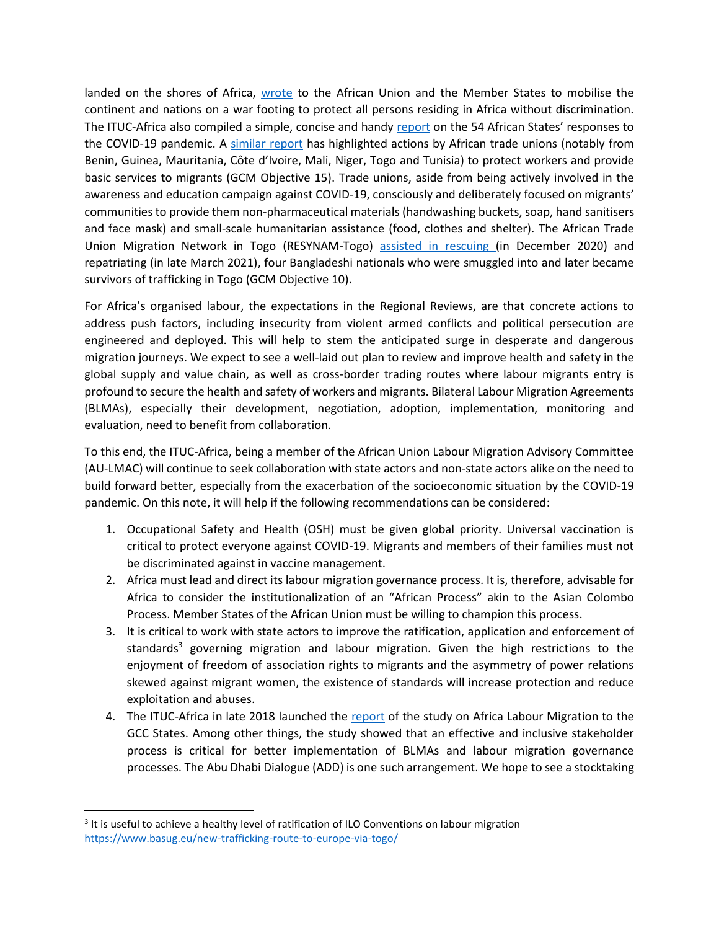landed on the shores of Africa, [wrote](http://www.ituc-africa.org/COVID-19-ITUC-Africa-letter-to-the-AU-Chairperson.html) to the African Union and the Member States to mobilise the continent and nations on a war footing to protect all persons residing in Africa without discrimination. The ITUC-Africa also compiled a simple, concise and handy [report](http://www.ituc-africa.org/Newsletter-AFRICAN-RESPONSES-TO-THE-COVID-19-HEALTH-CRISIS-THE-ROLE-OF-UNIONS-1738.html) on the 54 African States' responses to the COVID-19 pandemic. A [similar](file:///C:/Users/almeerakhalid/Library/Containers/com.microsoft.Word/Data/Downloads/Comment%20se%20déroule%20la%20préparation%3f%20J) report has highlighted actions by African trade unions (notably from Benin, Guinea, Mauritania, Côte d'Ivoire, Mali, Niger, Togo and Tunisia) to protect workers and provide basic services to migrants (GCM Objective 15). Trade unions, aside from being actively involved in the awareness and education campaign against COVID-19, consciously and deliberately focused on migrants' communities to provide them non-pharmaceutical materials (handwashing buckets, soap, hand sanitisers and face mask) and small-scale humanitarian assistance (food, clothes and shelter). The African Trade Union Migration Network in Togo (RESYNAM-Togo) [assisted in rescuing \(](https://www.basug.eu/new-trafficking-route-to-europe-via-togo/)in December 2020) and repatriating (in late March 2021), four Bangladeshi nationals who were smuggled into and later became survivors of trafficking in Togo (GCM Objective 10).

For Africa's organised labour, the expectations in the Regional Reviews, are that concrete actions to address push factors, including insecurity from violent armed conflicts and political persecution are engineered and deployed. This will help to stem the anticipated surge in desperate and dangerous migration journeys. We expect to see a well-laid out plan to review and improve health and safety in the global supply and value chain, as well as cross-border trading routes where labour migrants entry is profound to secure the health and safety of workers and migrants. Bilateral Labour Migration Agreements (BLMAs), especially their development, negotiation, adoption, implementation, monitoring and evaluation, need to benefit from collaboration.

To this end, the ITUC-Africa, being a member of the African Union Labour Migration Advisory Committee (AU-LMAC) will continue to seek collaboration with state actors and non-state actors alike on the need to build forward better, especially from the exacerbation of the socioeconomic situation by the COVID-19 pandemic. On this note, it will help if the following recommendations can be considered:

- 1. Occupational Safety and Health (OSH) must be given global priority. Universal vaccination is critical to protect everyone against COVID-19. Migrants and members of their families must not be discriminated against in vaccine management.
- 2. Africa must lead and direct its labour migration governance process. It is, therefore, advisable for Africa to consider the institutionalization of an "African Process" akin to the Asian Colombo Process. Member States of the African Union must be willing to champion this process.
- 3. It is critical to work with state actors to improve the ratification, application and enforcement of standards<sup>3</sup> governing migration and labour migration. Given the high restrictions to the enjoyment of freedom of association rights to migrants and the asymmetry of power relations skewed against migrant women, the existence of standards will increase protection and reduce exploitation and abuses.
- 4. The ITUC-Africa in late 2018 launched the [report](http://www.ituc-africa.org/STUDY-on-AFRICA-LABOUR-MIGRATION-TO-THE-GCC-STATES-THE-CASE-OF-GHANA-KENYA.html) of the study on Africa Labour Migration to the GCC States. Among other things, the study showed that an effective and inclusive stakeholder process is critical for better implementation of BLMAs and labour migration governance processes. The Abu Dhabi Dialogue (ADD) is one such arrangement. We hope to see a stocktaking

 $3$  It is useful to achieve a healthy level of ratification of ILO Conventions on labour migration <https://www.basug.eu/new-trafficking-route-to-europe-via-togo/>